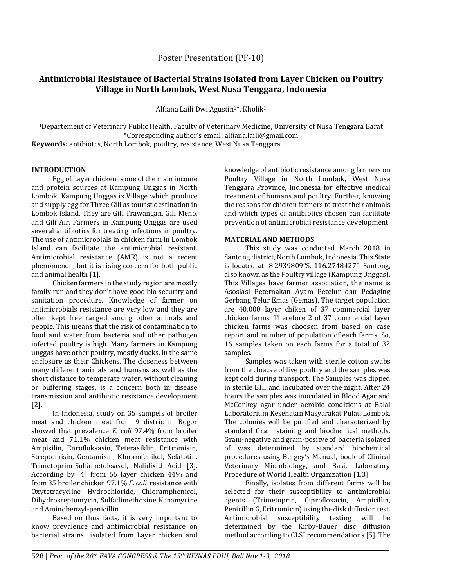## Poster Presentation (PF-10)

# **Antimicrobial Resistance of Bacterial Strains Isolated from Layer Chicken on Poultry Village in North Lombok, West Nusa Tenggara, Indonesia**

Alfiana Laili Dwi Agustin<sup>1\*</sup>, Kholik<sup>1</sup>

<sup>1</sup>Departement of Veterinary Public Health, Faculty of Veterinary Medicine, University of Nusa Tenggara Barat \*Corresponding author's email: alfiana.laili@gmail.com

**Keywords:** antibiotcs, North Lombok, poultry, resistance, West Nusa Tenggara.

#### **INTRODUCTION**

Egg of Layer chicken is one of the main income and protein sources at Kampung Unggas in North Lombok. Kampung Unggas is Village which produce and supply egg for Three Gili as tourist destination in Lombok Island. They are Gili Trawangan, Gili Meno, and Gili Air. Farmers in Kampung Unggas are used several antibiotics for treating infections in poultry. The use of antimicrobials in chicken farm in Lombok Island can facilitate the antimicrobial resistant. Antimicrobial resistance (AMR) is not a recent phenomenon, but it is rising concern for both public and animal health [1].

Chicken farmers in the study region are mostly family run and they don't have good bio security and sanitation procedure. Knowledge of farmer on antimicrobials resistance are very low and they are often kept free ranged among other animals and people. This means that the risk of contamination to food and water from bacteria and other pathogen infected poultry is high. Many farmers in Kampung unggas have other poultry, mostly ducks, in the same enclosure as their Chickens. The closeness between many different animals and humans as well as the short distance to temperate water, without cleaning or buffering stages, is a concern both in disease transmission and antibiotic resistance development [2].

In Indonesia, study on 35 sampels of broiler meat and chicken meat from 9 distric in Bogor showed that prevalence *E. coli* 97.4% from broiler meat and 71.1% chicken meat resistance with Ampisilin, Enrofloksasin, Teterasiklin, Eritromisin, Streptomisin, Gentamisin, Kloramfenikol, Sefatotin, Trimetoprim-Sulfametoksasol, Nalidixid Acid [3]. According by [4] from 66 layer chicken 44% and from 35 broiler chicken 97.1% *E. coli* resistance with Oxytetracycline Hydrochloride, Chloramphenicol, Dihydrosreptomycin, Sulfadimethoxine Kanamycine and Aminobenzyl-penicillin.

Based on thus facts, it is very important to know prevalence and antimicrobial resistance on bacterial strains isolated from Layer chicken and knowledge of antibiotic resistance among farmers on Poultry Village in North Lombok, West Nusa Tenggara Province, Indonesia for effective medical treatment of humans and poultry. Further, knowing the reasons for chicken farmers to treat their animals and which types of antibiotics chosen can facilitate prevention of antimicrobial resistance development.

### **MATERIAL AND METHODS**

This study was conducted March 2018 in Santong district, North Lombok, Indonesia. This State is located at -8.2939809°S, 116.2748427°. Santong, also known as the Poultry village (Kampung Unggas). This Villages have farmer association, the name is Asosiasi Peternakan Ayam Petelur dan Pedaging Gerbang Telur Emas (Gemas). The target population are 40,000 layer chiken of 37 commercial layer chicken farms. Therefore 2 of 37 commercial layer chicken farms was choosen from based on case report and number of population of each farms. So, 16 samples taken on each farms for a total of 32 samples.

Samples was taken with sterile cotton swabs from the cloacae of live poultry and the samples was kept cold during transport. The Samples was dipped in sterile BHI and incubated over the night. After 24 hours the samples was inoculated in Blood Agar and McConkey agar under aerobic conditions at Balai Laboratorium Kesehatan Masyarakat Pulau Lombok. The colonies will be purified and characterized by standard Gram staining and biochemical methods. Gram-negative and gram-positve of bacteria isolated of was determined by standard biochemical procedures using Bergey's Manual, book of Clinical Veterinary Microbiology, and Basic Laboratory Procedure of World Health Organization [1,3].

Finally, isolates from different farms will be selected for their susceptibility to antimicrobial agents (Trimetoprin, Ciprofloxacin, Ampicillin, Penicillin G, Eritromicin) using the disk diffusion test. Antimicrobial susceptibility testing will be determined by the Kirby-Bauer disc diffusion method according to CLSI recommendations [5]. The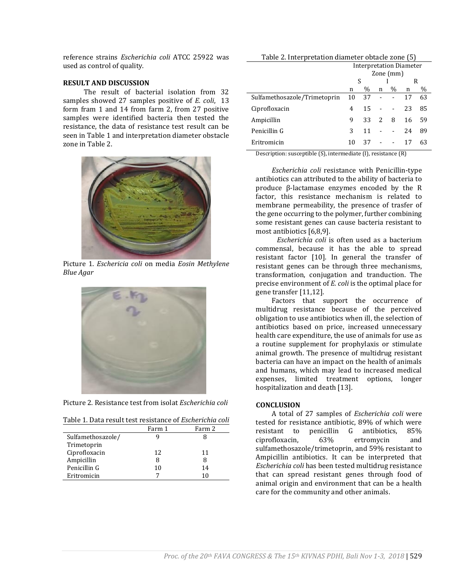reference strains *Escherichia coli* ATCC 25922 was used as control of quality.

#### **RESULT AND DISCUSSION**

The result of bacterial isolation from 32 samples showed 27 samples positive of *E. coli*, 13 form fram 1 and 14 from farm 2, from 27 positive samples were identified bacteria then tested the resistance, the data of resistance test result can be seen in Table 1 and interpretation diameter obstacle zone in Table 2.



Picture 1. *Eschericia coli* on media *Eosin Methylene Blue Agar*



Picture 2. Resistance test from isolat *Escherichia coli*

|                   | Farm 1 | Farm 2 |
|-------------------|--------|--------|
| Sulfamethosazole/ |        |        |
| Trimetoprin       |        |        |
| Ciprofloxacin     | 12     | 11     |
| Ampicillin        | 8      | 8      |
| Penicillin G      | 10     | 14     |
| Eritromicin       |        | 10     |

| Table 2. Interpretation diameter obtacle zone (5) |  |  |
|---------------------------------------------------|--|--|
|---------------------------------------------------|--|--|

|                              | <b>Interpretation Diameter</b><br>Zone (mm) |      |   |                          |    |      |  |
|------------------------------|---------------------------------------------|------|---|--------------------------|----|------|--|
|                              | S                                           |      |   |                          | R  |      |  |
|                              | n                                           | $\%$ | n | $\%$                     | n  | $\%$ |  |
| Sulfamethosazole/Trimetoprin | 10                                          | 37   |   | $\overline{\phantom{a}}$ | 17 | 63   |  |
| Ciprofloxacin                | 4                                           | 15   |   | $\blacksquare$           | 23 | 85   |  |
| Ampicillin                   | 9                                           | 33   | 2 | 8                        | 16 | 59   |  |
| Penicillin G                 | 3                                           | 11   |   | $\blacksquare$           | 24 | 89   |  |
| Eritromicin                  | 10                                          | 37   |   |                          | 17 | 63   |  |

Description: susceptible (S), intermediate (I), resistance (R)

*Escherichia coli* resistance with Penicillin-type antibiotics can attributed to the ability of bacteria to produce β-lactamase enzymes encoded by the R factor, this resistance mechanism is related to membrane permeability, the presence of trasfer of the gene occurring to the polymer, further combining some resistant genes can cause bacteria resistant to most antibiotics [6,8,9].

*Escherichia coli* is often used as a bacterium commensal, because it has the able to spread resistant factor [10]. In general the transfer of resistant genes can be through three mechanisms, transformation, conjugation and tranduction. The precise environment of *E. coli* is the optimal place for gene transfer [11,12].

Factors that support the occurrence of multidrug resistance because of the perceived obligation to use antibiotics when ill, the selection of antibiotics based on price, increased unnecessary health care expenditure, the use of animals for use as a routine supplement for prophylaxis or stimulate animal growth. The presence of multidrug resistant bacteria can have an impact on the health of animals and humans, which may lead to increased medical expenses, limited treatment options, longer hospitalization and death [13].

#### **CONCLUSION**

A total of 27 samples of *Escherichia coli* were tested for resistance antibiotic, 89% of which were resistant to penicillin G antibiotics, 85% ciprofloxacin, 63% ertromycin and sulfamethosazole/trimetoprin, and 59% resistant to Ampicillin antibiotics. It can be interpreted that *Escherichia coli* has been tested multidrug resistance that can spread resistant genes through food of animal origin and environment that can be a health care for the community and other animals.